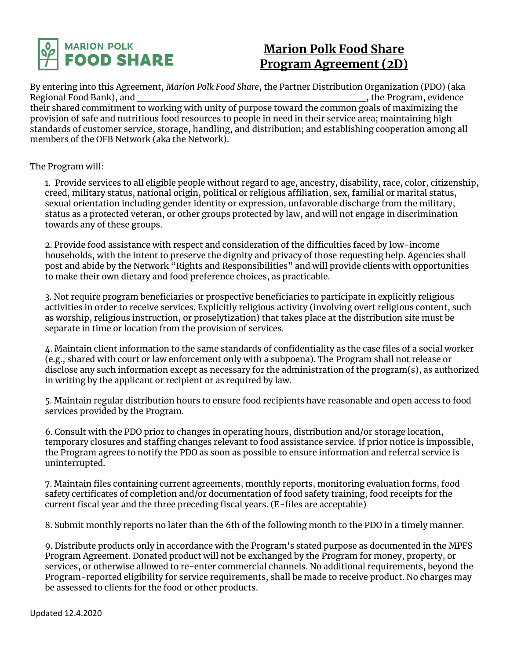

## **Marion Polk Food Share Program Agreement (2D)**

By entering into this Agreement, *Marion Polk Food Share*, the Partner Distribution Organization (PDO) (aka Regional Food Bank), and their shared commitment to working with unity of purpose toward the common goals of maximizing the provision of safe and nutritious food resources to people in need in their service area; maintaining high standards of customer service, storage, handling, and distribution; and establishing cooperation among all members of the OFB Network (aka the Network).

The Program will:

1. Provide services to all eligible people without regard to age, ancestry, disability, race, color, citizenship, creed, military status, national origin, political or religious affiliation, sex, familial or marital status, sexual orientation including gender identity or expression, unfavorable discharge from the military, status as a protected veteran, or other groups protected by law, and will not engage in discrimination towards any of these groups.

2. Provide food assistance with respect and consideration of the difficulties faced by low-income households, with the intent to preserve the dignity and privacy of those requesting help. Agencies shall post and abide by the Network "Rights and Responsibilities" and will provide clients with opportunities to make their own dietary and food preference choices, as practicable.

3. Not require program beneficiaries or prospective beneficiaries to participate in explicitly religious activities in order to receive services. Explicitly religious activity (involving overt religious content, such as worship, religious instruction, or proselytization) that takes place at the distribution site must be separate in time or location from the provision of services.

4. Maintain client information to the same standards of confidentiality as the case files of a social worker (e.g., shared with court or law enforcement only with a subpoena). The Program shall not release or disclose any such information except as necessary for the administration of the program(s), as authorized in writing by the applicant or recipient or as required by law.

5. Maintain regular distribution hours to ensure food recipients have reasonable and open access to food services provided by the Program.

6. Consult with the PDO prior to changes in operating hours, distribution and/or storage location, temporary closures and staffing changes relevant to food assistance service. If prior notice is impossible, the Program agrees to notify the PDO as soon as possible to ensure information and referral service is uninterrupted.

7. Maintain files containing current agreements, monthly reports, monitoring evaluation forms, food safety certificates of completion and/or documentation of food safety training, food receipts for the current fiscal year and the three preceding fiscal years. (E-files are acceptable)

8. Submit monthly reports no later than the 6th of the following month to the PDO in a timely manner.

9. Distribute products only in accordance with the Program's stated purpose as documented in the MPFS Program Agreement. Donated product will not be exchanged by the Program for money, property, or services, or otherwise allowed to re-enter commercial channels. No additional requirements, beyond the Program-reported eligibility for service requirements, shall be made to receive product. No charges may be assessed to clients for the food or other products.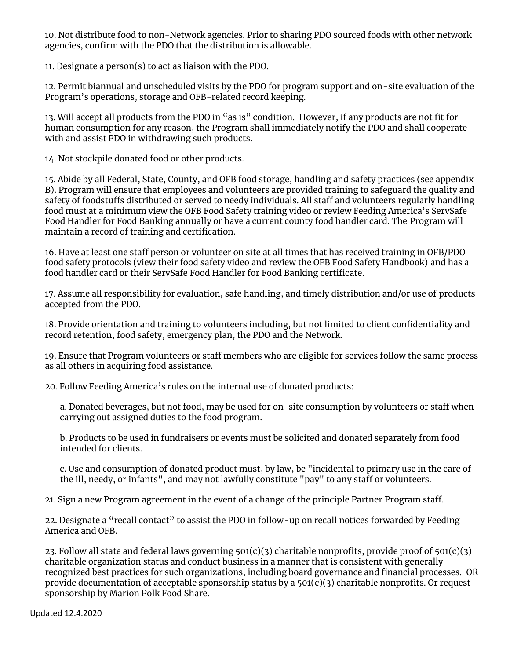10. Not distribute food to non-Network agencies. Prior to sharing PDO sourced foods with other network agencies, confirm with the PDO that the distribution is allowable.

11. Designate a person(s) to act as liaison with the PDO.

12. Permit biannual and unscheduled visits by the PDO for program support and on-site evaluation of the Program's operations, storage and OFB-related record keeping.

13. Will accept all products from the PDO in "as is" condition. However, if any products are not fit for human consumption for any reason, the Program shall immediately notify the PDO and shall cooperate with and assist PDO in withdrawing such products.

14. Not stockpile donated food or other products.

15. Abide by all Federal, State, County, and OFB food storage, handling and safety practices (see appendix B). Program will ensure that employees and volunteers are provided training to safeguard the quality and safety of foodstuffs distributed or served to needy individuals. All staff and volunteers regularly handling food must at a minimum view the OFB Food Safety training video or review Feeding America's ServSafe Food Handler for Food Banking annually or have a current county food handler card. The Program will maintain a record of training and certification.

16. Have at least one staff person or volunteer on site at all times that has received training in OFB/PDO food safety protocols (view their food safety video and review the OFB Food Safety Handbook) and has a food handler card or their ServSafe Food Handler for Food Banking certificate.

17. Assume all responsibility for evaluation, safe handling, and timely distribution and/or use of products accepted from the PDO.

18. Provide orientation and training to volunteers including, but not limited to client confidentiality and record retention, food safety, emergency plan, the PDO and the Network.

19. Ensure that Program volunteers or staff members who are eligible for services follow the same process as all others in acquiring food assistance.

20. Follow Feeding America's rules on the internal use of donated products:

a. Donated beverages, but not food, may be used for on-site consumption by volunteers or staff when carrying out assigned duties to the food program.

b. Products to be used in fundraisers or events must be solicited and donated separately from food intended for clients.

c. Use and consumption of donated product must, by law, be "incidental to primary use in the care of the ill, needy, or infants", and may not lawfully constitute "pay" to any staff or volunteers.

21. Sign a new Program agreement in the event of a change of the principle Partner Program staff.

22. Designate a "recall contact" to assist the PDO in follow-up on recall notices forwarded by Feeding America and OFB.

23. Follow all state and federal laws governing  $501(c)(3)$  charitable nonprofits, provide proof of  $501(c)(3)$ charitable organization status and conduct business in a manner that is consistent with generally recognized best practices for such organizations, including board governance and financial processes. OR provide documentation of acceptable sponsorship status by a  $501(c)(3)$  charitable nonprofits. Or request sponsorship by Marion Polk Food Share.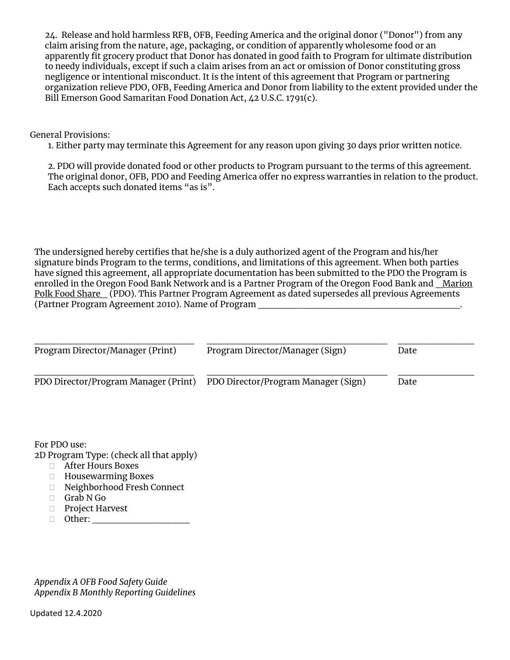24. Release and hold harmless RFB, OFB, Feeding America and the original donor ("Donor") from any claim arising from the nature, age, packaging, or condition of apparently wholesome food or an apparently fit grocery product that Donor has donated in good faith to Program for ultimate distribution to needy individuals, except if such a claim arises from an act or omission of Donor constituting gross negligence or intentional misconduct. It is the intent of this agreement that Program or partnering organization relieve PDO, OFB, Feeding America and Donor from liability to the extent provided under the Bill Emerson Good Samaritan Food Donation Act, 42 U.S.C. 1791(c).

General Provisions:

1. Either party may terminate this Agreement for any reason upon giving 30 days prior written notice.

2. PDO will provide donated food or other products to Program pursuant to the terms of this agreement. The original donor, OFB, PDO and Feeding America offer no express warranties in relation to the product. Each accepts such donated items "as is".

The undersigned hereby certifies that he/she is a duly authorized agent of the Program and his/her signature binds Program to the terms, conditions, and limitations of this agreement. When both parties have signed this agreement, all appropriate documentation has been submitted to the PDO the Program is enrolled in the Oregon Food Bank Network and is a Partner Program of the Oregon Food Bank and Marion Polk Food Share (PDO). This Partner Program Agreement as dated supersedes all previous Agreements (Partner Program Agreement 2010). Name of Program \_\_\_\_\_\_\_\_\_\_\_\_\_\_\_\_\_\_\_\_\_\_\_\_\_\_\_\_\_.

| Program Director/Manager (Print)     | Program Director/Manager (Sign)     | Date |
|--------------------------------------|-------------------------------------|------|
| PDO Director/Program Manager (Print) | PDO Director/Program Manager (Sign) | Date |

For PDO use:

2D Program Type: (check all that apply)

- After Hours Boxes
- Housewarming Boxes
- Neighborhood Fresh Connect
- Grab N Go
- □ Project Harvest
- $\Box$  Other:

*Appendix A OFB Food Safety Guide Appendix B Monthly Reporting Guidelines*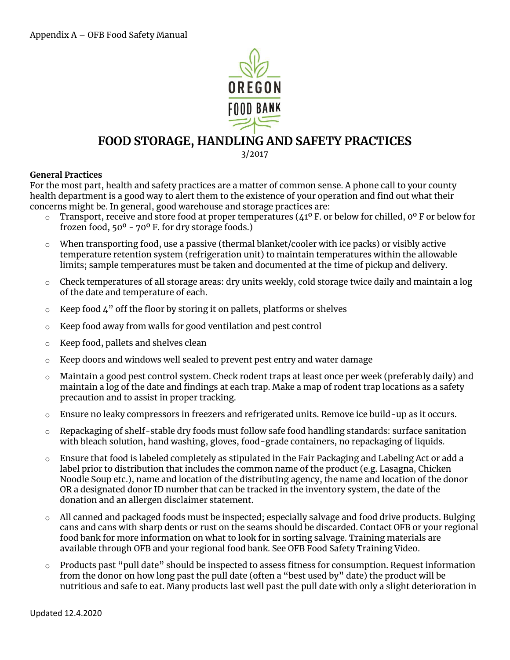

### **FOOD STORAGE, HANDLING AND SAFETY PRACTICES**

3/2017

#### **General Practices**

For the most part, health and safety practices are a matter of common sense. A phone call to your county health department is a good way to alert them to the existence of your operation and find out what their concerns might be. In general, good warehouse and storage practices are:

- $\circ$  Transport, receive and store food at proper temperatures (41<sup>o</sup> F. or below for chilled, 0<sup>o</sup> F or below for frozen food,  $50^{\circ}$  -  $70^{\circ}$  F. for dry storage foods.)
- $\circ$  When transporting food, use a passive (thermal blanket/cooler with ice packs) or visibly active temperature retention system (refrigeration unit) to maintain temperatures within the allowable limits; sample temperatures must be taken and documented at the time of pickup and delivery.
- o Check temperatures of all storage areas: dry units weekly, cold storage twice daily and maintain a log of the date and temperature of each.
- $\circ$  Keep food 4" off the floor by storing it on pallets, platforms or shelves
- o Keep food away from walls for good ventilation and pest control
- o Keep food, pallets and shelves clean
- $\circ$  Keep doors and windows well sealed to prevent pest entry and water damage
- $\circ$  Maintain a good pest control system. Check rodent traps at least once per week (preferably daily) and maintain a log of the date and findings at each trap. Make a map of rodent trap locations as a safety precaution and to assist in proper tracking.
- $\circ$  Ensure no leaky compressors in freezers and refrigerated units. Remove ice build-up as it occurs.
- $\circ$  Repackaging of shelf-stable dry foods must follow safe food handling standards: surface sanitation with bleach solution, hand washing, gloves, food-grade containers, no repackaging of liquids.
- o Ensure that food is labeled completely as stipulated in the Fair Packaging and Labeling Act or add a label prior to distribution that includes the common name of the product (e.g. Lasagna, Chicken Noodle Soup etc.), name and location of the distributing agency, the name and location of the donor OR a designated donor ID number that can be tracked in the inventory system, the date of the donation and an allergen disclaimer statement.
- $\circ$  All canned and packaged foods must be inspected; especially salvage and food drive products. Bulging cans and cans with sharp dents or rust on the seams should be discarded. Contact OFB or your regional food bank for more information on what to look for in sorting salvage. Training materials are available through OFB and your regional food bank. See OFB Food Safety Training Video.
- o Products past "pull date" should be inspected to assess fitness for consumption. Request information from the donor on how long past the pull date (often a "best used by" date) the product will be nutritious and safe to eat. Many products last well past the pull date with only a slight deterioration in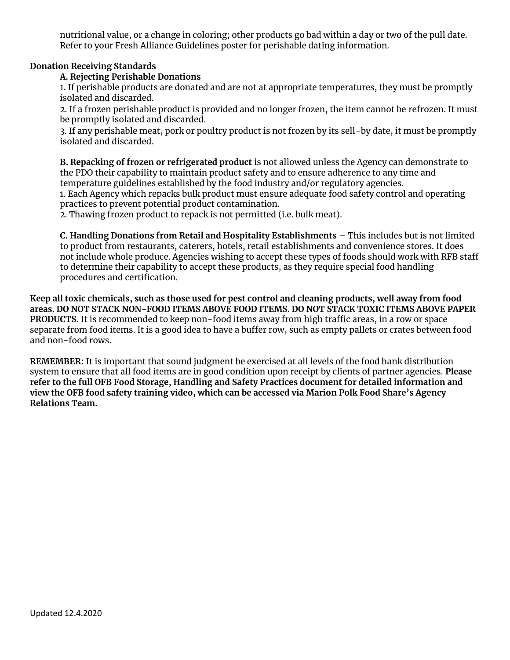nutritional value, or a change in coloring; other products go bad within a day or two of the pull date. Refer to your Fresh Alliance Guidelines poster for perishable dating information.

#### **Donation Receiving Standards**

#### **A. Rejecting Perishable Donations**

1. If perishable products are donated and are not at appropriate temperatures, they must be promptly isolated and discarded.

2. If a frozen perishable product is provided and no longer frozen, the item cannot be refrozen. It must be promptly isolated and discarded.

3. If any perishable meat, pork or poultry product is not frozen by its sell-by date, it must be promptly isolated and discarded.

**B. Repacking of frozen or refrigerated product** is not allowed unless the Agency can demonstrate to the PDO their capability to maintain product safety and to ensure adherence to any time and temperature guidelines established by the food industry and/or regulatory agencies.

1. Each Agency which repacks bulk product must ensure adequate food safety control and operating practices to prevent potential product contamination.

2. Thawing frozen product to repack is not permitted (i.e. bulk meat).

**C. Handling Donations from Retail and Hospitality Establishments** – This includes but is not limited to product from restaurants, caterers, hotels, retail establishments and convenience stores. It does not include whole produce. Agencies wishing to accept these types of foods should work with RFB staff to determine their capability to accept these products, as they require special food handling procedures and certification.

**Keep all toxic chemicals, such as those used for pest control and cleaning products, well away from food areas. DO NOT STACK NON-FOOD ITEMS ABOVE FOOD ITEMS. DO NOT STACK TOXIC ITEMS ABOVE PAPER PRODUCTS.** It is recommended to keep non-food items away from high traffic areas, in a row or space separate from food items. It is a good idea to have a buffer row, such as empty pallets or crates between food and non-food rows.

**REMEMBER:** It is important that sound judgment be exercised at all levels of the food bank distribution system to ensure that all food items are in good condition upon receipt by clients of partner agencies. **Please refer to the full OFB Food Storage, Handling and Safety Practices document for detailed information and view the OFB food safety training video, which can be accessed via Marion Polk Food Share's Agency Relations Team.**